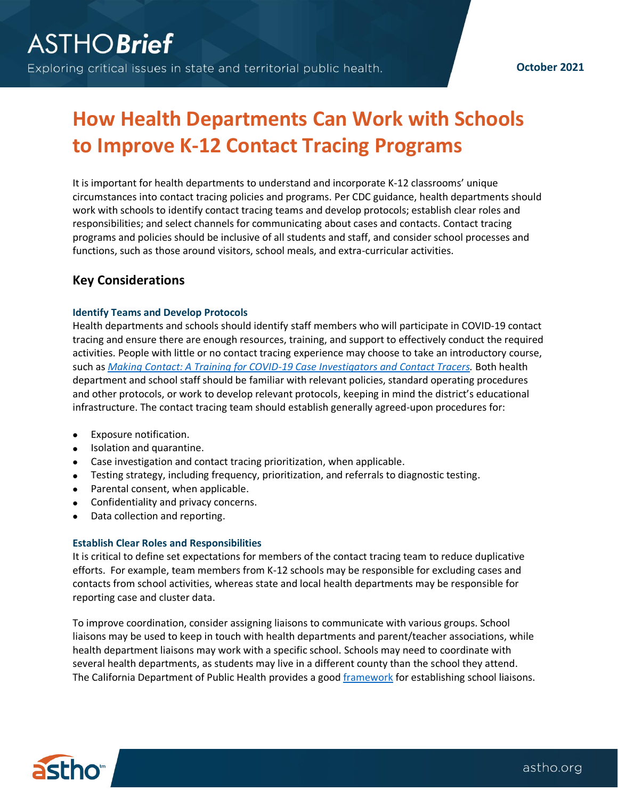# **How Health Departments Can Work with Schools to Improve K-12 Contact Tracing Programs**

It is important for health departments to understand and incorporate K-12 classrooms' unique circumstances into contact tracing policies and programs. Per CDC guidance, health departments should work with schools to identify contact tracing teams and develop protocols; establish clear roles and responsibilities; and select channels for communicating about cases and contacts. Contact tracing programs and policies should be inclusive of all students and staff, and consider school processes and functions, such as those around visitors, school meals, and extra-curricular activities.

## **Key Considerations**

## **Identify Teams and Develop Protocols**

Health departments and schools should identify staff members who will participate in COVID-19 contact tracing and ensure there are enough resources, training, and support to effectively conduct the required activities. People with little or no contact tracing experience may choose to take an introductory course, such as *[Making Contact: A Training for COVID-19 Case Investigators and Contact Tracers.](https://learn.astho.org/products/making-contact-a-training-for-covid-19-case-investigators-and-contact-tracers)* Both health department and school staff should be familiar with relevant policies, standard operating procedures and other protocols, or work to develop relevant protocols, keeping in mind the district's educational infrastructure. The contact tracing team should establish generally agreed-upon procedures for:

- Exposure notification.
- Isolation and quarantine.
- Case investigation and contact tracing prioritization, when applicable.
- Testing strategy, including frequency, prioritization, and referrals to diagnostic testing.
- Parental consent, when applicable.
- Confidentiality and privacy concerns.
- Data collection and reporting.

## **Establish Clear Roles and Responsibilities**

It is critical to define set expectations for members of the contact tracing team to reduce duplicative efforts. For example, team members from K-12 schools may be responsible for excluding cases and contacts from school activities, whereas state and local health departments may be responsible for reporting case and cluster data.

To improve coordination, consider assigning liaisons to communicate with various groups. School liaisons may be used to keep in touch with health departments and parent/teacher associations, while health department liaisons may work with a specific school. Schools may need to coordinate with several health departments, as students may live in a different county than the school they attend. The California Department of Public Health provides a good [framework](https://www.cdph.ca.gov/Programs/CID/DCDC/Pages/COVID-19/School-Liaison-Toolkit-Landing-Page.aspx) for establishing school liaisons.